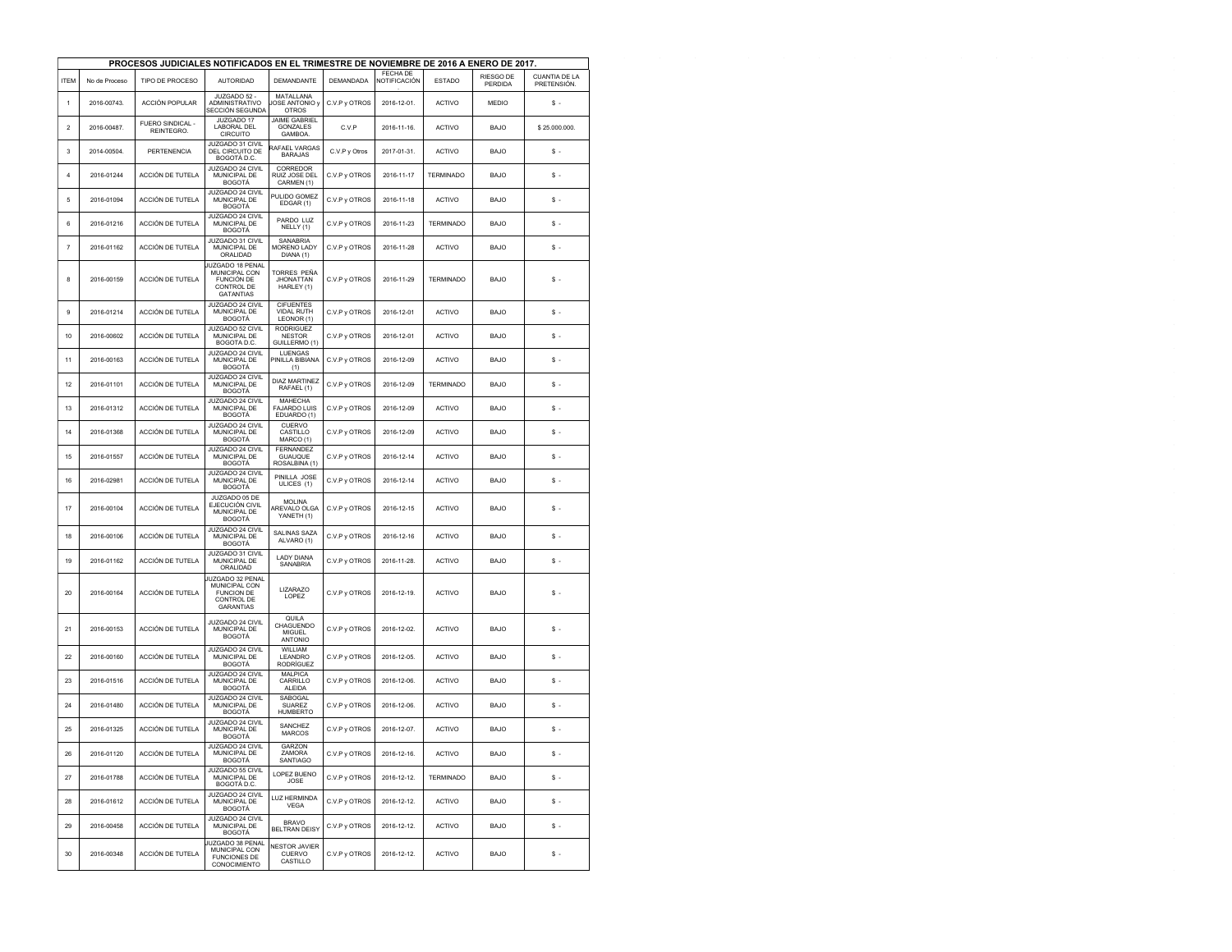| PROCESOS JUDICIALES NOTIFICADOS EN EL TRIMESTRE DE NOVIEMBRE DE 2016 A ENERO DE 2017. |               |                                |                                                                                                 |                                                    |               |                          |                  |                      |                                     |  |  |  |
|---------------------------------------------------------------------------------------|---------------|--------------------------------|-------------------------------------------------------------------------------------------------|----------------------------------------------------|---------------|--------------------------|------------------|----------------------|-------------------------------------|--|--|--|
| <b>ITFM</b>                                                                           | No de Proceso | TIPO DE PROCESO                | <b>AUTORIDAD</b>                                                                                | DEMANDANTE                                         | DEMANDADA     | FECHA DE<br>NOTIFICACIÓN | <b>FSTADO</b>    | RIESGO DE<br>PERDIDA | <b>CUANTIA DE LA</b><br>PRETENSIÓN. |  |  |  |
| $\mathbf{1}$                                                                          | 2016-00743.   | ACCIÓN POPULAR                 | JUZGADO 52 -<br>ADMINISTRATIVO<br>SECCIÓN SEGUNDA                                               | MATALLANA<br>JOSE ANTONIO y<br><b>OTROS</b>        | C.V.P y OTROS | 2016-12-01.              | <b>ACTIVO</b>    | <b>MEDIO</b>         | $s -$                               |  |  |  |
| $\mathcal{P}$                                                                         | 2016-00487.   | FUERO SINDICAL -<br>REINTEGRO. | JUZGADO 17<br><b>LABORAL DEL</b><br>CIRCUITO                                                    | <b>JAIME GABRIEL</b><br>GONZALES<br>GAMBOA         | C V P         | 2016-11-16.              | <b>ACTIVO</b>    | <b>BAJO</b>          | \$25.000.000                        |  |  |  |
| 3                                                                                     | 2014-00504.   | PERTENENCIA                    | JUZGADO 31 CIVIL<br>DEL CIRCUITO DE<br>BOGOTÁ D.C.                                              | RAFAEL VARGAS<br><b>BARAJAS</b>                    | C.V.P y Otros | 2017-01-31.              | <b>ACTIVO</b>    | <b>BAJO</b>          | $s$ .                               |  |  |  |
| $\overline{4}$                                                                        | 2016-01244    | ACCIÓN DE TUTELA               | JUZGADO 24 CIVIL<br>MUNICIPAL DE<br><b>BOGOTA</b>                                               | CORREDOR<br>RUIZ JOSE DEL<br>CARMEN (1)            | C.V.P y OTROS | 2016-11-17               | <b>TERMINADO</b> | <b>BAJO</b>          | s -                                 |  |  |  |
| 5                                                                                     | 2016-01094    | ACCIÓN DE TUTELA               | ILIZGADO 24 CIVIL<br>MUNICIPAL DE<br><b>BOGOTÁ</b>                                              | PULIDO GOMEZ<br>EDGAR (1)                          | C.V.P y OTROS | 2016-11-18               | <b>ACTIVO</b>    | <b>BAJO</b>          | $s -$                               |  |  |  |
| 6                                                                                     | 2016-01216    | ACCIÓN DE TUTELA               | JUZGADO 24 CIVIL<br>MUNICIPAL DE<br><b>BOGOTÁ</b>                                               | PARDO LUZ<br>NELLY (1)                             | C.V.P y OTROS | 2016-11-23               | <b>TERMINADO</b> | <b>BAJO</b>          | $s -$                               |  |  |  |
| $\overline{7}$                                                                        | 2016-01162    | ACCIÓN DE TUTELA               | JUZGADO 31 CIVIL<br>MUNICIPAL DE<br>ORALIDAD                                                    | SANABRIA<br>MORENO LADY<br>DIANA (1)               | C.V.P y OTROS | 2016-11-28               | <b>ACTIVO</b>    | <b>BAJO</b>          | $s -$                               |  |  |  |
| 8                                                                                     | 2016-00159    | ACCIÓN DE TUTELA               | JUZGADO 18 PENAL<br>MUNICIPAL CON<br>FUNCIÓN DE<br><b>CONTROL DE</b><br><b>GATANTIAS</b>        | TORRES PEÑA<br><b>JHONATTAN</b><br>HARLEY (1)      | C.V.P y OTROS | 2016-11-29               | <b>TERMINADO</b> | <b>BAJO</b>          | $s$ .                               |  |  |  |
| 9                                                                                     | 2016-01214    | ACCIÓN DE TUTELA               | JUZGADO 24 CIVIL<br>MUNICIPAL DE<br><b>BOGOTÁ</b>                                               | <b>CIFUENTES</b><br>VIDAL RUTH<br>LEONOR (1)       | C.V.P y OTROS | 2016-12-01               | <b>ACTIVO</b>    | <b>BAJO</b>          | \$ -                                |  |  |  |
| 10                                                                                    | 2016-00602    | ACCIÓN DE TUTELA               | JUZGADO 52 CIVIL<br>MUNICIPAL DE<br><b>BOGOTA D.C</b>                                           | <b>RODRIGUEZ</b><br><b>NESTOR</b><br>GUILLERMO (1) | C.V.P y OTROS | 2016-12-01               | <b>ACTIVO</b>    | <b>BAJO</b>          | s -                                 |  |  |  |
| 11                                                                                    | 2016-00163    | ACCIÓN DE TUTELA               | JUZGADO 24 CIVIL<br>MUNICIPAL DE<br><b>BOGOTA</b>                                               | <b>LUENGAS</b><br>PINILLA BIBIANA<br>(1)           | C.V.P y OTROS | 2016-12-09               | <b>ACTIVO</b>    | BA.IO                | $s -$                               |  |  |  |
| 12                                                                                    | 2016-01101    | ACCIÓN DE TUTELA               | JUZGADO 24 CIVIL<br>MUNICIPAL DE<br><b>BOGOTÁ</b>                                               | <b>DIAZ MARTINEZ</b><br>RAFAEL (1)                 | C.V.P y OTROS | 2016-12-09               | <b>TERMINADO</b> | <b>BAJO</b>          | \$ -                                |  |  |  |
| 13                                                                                    | 2016-01312    | ACCIÓN DE TUTELA               | JUZGADO 24 CIVIL<br>MUNICIPAL DE<br><b>BOGOTA</b>                                               | MAHECHA<br><b>FAJARDO LUIS</b><br>EDUARDO (1)      | C.V.P y OTROS | 2016-12-09               | <b>ACTIVO</b>    | <b>BAJO</b>          | $s -$                               |  |  |  |
| 14                                                                                    | 2016-01368    | ACCIÓN DE TUTELA               | JUZGADO 24 CIVIL<br>MUNICIPAL DE<br><b>BOGOTA</b>                                               | CUERVO<br>CASTILLO<br>MARCO (1)                    | C.V.P y OTROS | 2016-12-09               | <b>ACTIVO</b>    | <b>BAJO</b>          | s -                                 |  |  |  |
| 15                                                                                    | 2016-01557    | ACCIÓN DE TUTELA               | JUZGADO 24 CIVIL<br>MUNICIPAL DE<br><b>BOGOTÁ</b>                                               | FERNANDEZ<br>GUAUQUE<br>ROSALBINA (1)              | C.V.P y OTROS | 2016-12-14               | <b>ACTIVO</b>    | <b>BAJO</b>          | \$ -                                |  |  |  |
| 16                                                                                    | 2016-02981    | ACCIÓN DE TUTELA               | JUZGADO 24 CIVIL<br>MUNICIPAL DE<br><b>BOGOTÁ</b>                                               | PINILLA JOSE<br>ULICES (1)                         | C.V.P y OTROS | 2016-12-14               | ACTIVO           | <b>BAJO</b>          | $s -$                               |  |  |  |
| 17                                                                                    | 2016-00104    | ACCIÓN DE TUTELA               | JUZGADO 05 DE<br>EJECUCIÓN CIVIL<br>MUNICIPAL DE<br><b>BOGOTÁ</b>                               | <b>MOLINA</b><br>AREVALO OLGA<br>YANETH (1)        | C.V.P y OTROS | 2016-12-15               | <b>ACTIVO</b>    | <b>BAJO</b>          | $s -$                               |  |  |  |
| 18                                                                                    | 2016-00106    | ACCIÓN DE TUTELA               | JUZGADO 24 CIVIL<br>MUNICIPAL DE<br><b>BOGOTÁ</b>                                               | SALINAS SAZA<br>ALVARO (1)                         | C.V.P y OTROS | 2016-12-16               | <b>ACTIVO</b>    | <b>BAJO</b>          | $\mathsf{s}$ .                      |  |  |  |
| 19                                                                                    | 2016-01162    | ACCIÓN DE TUTELA               | JUZGADO 31 CIVIL<br>MUNICIPAL DE<br>ORAL IDAD                                                   | <b>LADY DIANA</b><br><b>SANABRIA</b>               | C.V.P y OTROS | 2016-11-28               | <b>ACTIVO</b>    | <b>BAJO</b>          | $s -$                               |  |  |  |
| 20                                                                                    | 2016-00164    | ACCIÓN DE TUTELA               | JUZGADO 32 PENAL<br>MUNICIPAL CON<br><b>FUNCION DE</b><br><b>CONTROL DE</b><br><b>GARANTIAS</b> | LIZARAZO<br>LOPEZ                                  | C.V.P y OTROS | 2016-12-19.              | <b>ACTIVO</b>    | <b>BAJO</b>          | $s$ .                               |  |  |  |
| 21                                                                                    | 2016-00153    | ACCIÓN DE TUTELA               | JUZGADO 24 CIVIL<br>MUNICIPAL DE<br><b>BOGOTÁ</b>                                               | QUILA<br>CHAGUENDO<br>MIGUEL<br><b>ANTONIO</b>     | C.V.P y OTROS | 2016-12-02.              | <b>ACTIVO</b>    | <b>BAJO</b>          | $s -$                               |  |  |  |
| 22                                                                                    | 2016-00160    | ACCIÓN DE TUTELA               | JUZGADO 24 CIVIL<br>MUNICIPAL DE<br><b>BOGOTÁ</b>                                               | WILLIAM<br>LEANDRO<br>RODRÍGUEZ                    | C.V.P y OTROS | 2016-12-05.              | <b>ACTIVO</b>    | <b>BAJO</b>          | $s$ .                               |  |  |  |
| 23                                                                                    | 2016-01516    | ACCIÓN DE TUTELA               | JUZGADO 24 CIVIL<br>MUNICIPAL DE<br><b>BOGOTÁ</b>                                               | MALPICA<br>CARRILLO<br>AI FIDA                     | C.V.P y OTROS | 2016-12-06.              | <b>ACTIVO</b>    | <b>BAJO</b>          | $s$ .                               |  |  |  |
| 24                                                                                    | 2016-01480    | ACCIÓN DE TUTELA               | JUZGADO 24 CIVIL<br>MUNICIPAL DE<br><b>BOGOTA</b>                                               | SABOGAL<br>SLIAREZ<br><b>HUMBERTO</b>              | C.V.P y OTROS | 2016-12-06.              | <b>ACTIVO</b>    | <b>BAJO</b>          | s -                                 |  |  |  |
| 25                                                                                    | 2016-01325    | ACCIÓN DE TUTELA               | JUZGADO 24 CIVIL<br>MUNICIPAL DE<br><b>BOGOTÁ</b>                                               | <b>SANCHEZ</b><br>MARCOS                           | C.V.P y OTROS | 2016-12-07.              | <b>ACTIVO</b>    | <b>BAJO</b>          | $\mathsf{s}$ .                      |  |  |  |
| 26                                                                                    | 2016-01120    | ACCIÓN DE TUTELA               | JUZGADO 24 CIVIL<br><b>MUNICIPAL DE</b><br><b>BOGOTÁ</b>                                        | GARZON<br>7AMORA<br>SANTIAGO                       | C.V.P y OTROS | 2016-12-16               | <b>ACTIVO</b>    | BAJO                 | Տ.-                                 |  |  |  |
| 27                                                                                    | 2016-01788    | ACCIÓN DE TUTELA               | JUZGADO 55 CIVIL<br>MUNICIPAL DE<br>BOGOTÁ D.C.                                                 | LOPEZ BUENO<br>JOSE                                | C.V.P y OTROS | 2016-12-12.              | <b>TERMINADO</b> | <b>BAJO</b>          | $s -$                               |  |  |  |
| 28                                                                                    | 2016-01612    | ACCIÓN DE TUTELA               | JUZGADO 24 CIVIL<br>MUNICIPAL DE<br><b>BOGOTÁ</b>                                               | LUZ HERMINDA<br>VEGA                               | C.V.P y OTROS | 2016-12-12.              | <b>ACTIVO</b>    | <b>BAJO</b>          | $\mathsf{s}$ .                      |  |  |  |
| 29                                                                                    | 2016-00458    | ACCIÓN DE TUTELA               | JUZGADO 24 CIVIL<br>MUNICIPAL DE<br><b>BOGOTÁ</b>                                               | <b>BRAVO</b><br><b>BELTRAN DEISY</b>               | C.V.P y OTROS | 2016-12-12.              | ACTIVO           | <b>BAJO</b>          | $\mathsf{s}$ .                      |  |  |  |
| 30                                                                                    | 2016-00348    | ACCIÓN DE TUTELA               | JUZGADO 38 PENAL<br>MUNICIPAL CON<br><b>FUNCIONES DE</b><br>CONOCIMIENTO                        | <b>NESTOR JAVIER</b><br>CUERVO<br>CASTILLO         | C.V.P y OTROS | 2016-12-12.              | <b>ACTIVO</b>    | <b>BAJO</b>          | \$ -                                |  |  |  |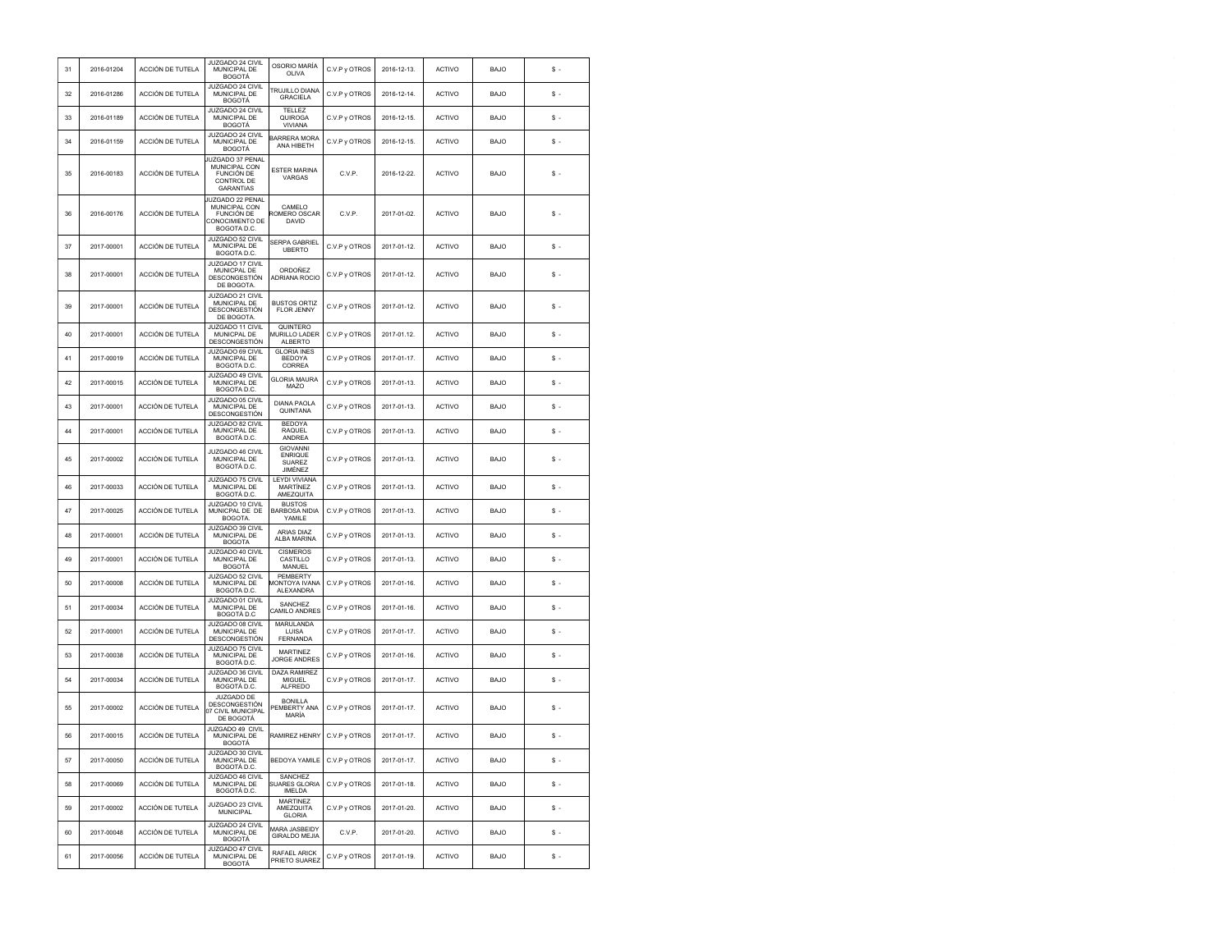| 31 | 2016-01204 | ACCIÓN DE TUTELA | JUZGADO 24 CIVIL<br>MUNICIPAL DE<br><b>BOGOTÁ</b>                                        | OSORIO MARÍA<br><b>OLIVA</b>                           | C.V.P y OTROS | 2016-12-13. | <b>ACTIVO</b> | <b>BAJO</b> | $\mathsf{s}$ . |
|----|------------|------------------|------------------------------------------------------------------------------------------|--------------------------------------------------------|---------------|-------------|---------------|-------------|----------------|
| 32 | 2016-01286 | ACCIÓN DE TUTELA | JUZGADO 24 CIVIL<br>MUNICIPAL DE<br><b>BOGOTA</b>                                        | TRUJILLO DIANA<br><b>GRACIELA</b>                      | C.V.P y OTROS | 2016-12-14. | <b>ACTIVO</b> | <b>BAJO</b> | $\mathsf{s}$ . |
| 33 | 2016-01189 | ACCIÓN DE TUTELA | JUZGADO 24 CIVIL<br>MUNICIPAL DE<br><b>BOGOTÁ</b>                                        | TELLEZ<br>QUIROGA<br>VIVIANA                           | C.V.P y OTROS | 2016-12-15. | <b>ACTIVO</b> | <b>BAJO</b> | $s$ .          |
| 34 | 2016-01159 | ACCIÓN DE TUTELA | JUZGADO 24 CIVIL<br>MUNICIPAL DE<br><b>BOGOTÁ</b>                                        | <b>BARRERA MORA</b><br>ANA HIBETH                      | C.V.P y OTROS | 2016-12-15. | <b>ACTIVO</b> | <b>BAJO</b> | $s$ .          |
| 35 | 2016-00183 | ACCIÓN DE TUTELA | JUZGADO 37 PENAL<br>MUNICIPAL CON<br>FUNCIÓN DE<br><b>CONTROL DE</b><br><b>GARANTIAS</b> | <b>ESTER MARINA</b><br>VARGAS                          | C V P         | 2016-12-22. | <b>ACTIVO</b> | BA.IO       | $s$ .          |
| 36 | 2016-00176 | ACCIÓN DE TUTELA | JUZGADO 22 PENAL<br>MUNICIPAL CON<br>FUNCIÓN DE<br>CONOCIMIENTO DE<br>BOGOTA D.C.        | CAMELO<br>ROMERO OSCAR<br>DAVID                        | C.V.P.        | 2017-01-02. | <b>ACTIVO</b> | <b>BAJO</b> | s -            |
| 37 | 2017-00001 | ACCIÓN DE TUTELA | JUZGADO 52 CIVIL<br>MUNICIPAL DE<br>BOGOTA D.C.                                          | SERPA GABRIEL<br><b>UBERTO</b>                         | C.V.P y OTROS | 2017-01-12. | <b>ACTIVO</b> | <b>BAJO</b> | $\mathsf{s}$ . |
| 38 | 2017-00001 | ACCIÓN DE TUTELA | JUZGADO 17 CIVIL<br>MUNICPAL DE<br><b>DESCONGESTIÓN</b><br>DE BOGOTA                     | ORDOÑEZ<br>ADRIANA ROCIO                               | C.V.P v OTROS | 2017-01-12  | <b>ACTIVO</b> | BA.IO       | $s$ .          |
| 39 | 2017-00001 | ACCIÓN DE TUTELA | JUZGADO 21 CIVIL<br>MUNICIPAL DE<br><b>DESCONGESTIÓN</b><br>DE BOGOTA.                   | <b>BUSTOS ORTIZ</b><br><b>FLOR JENNY</b>               | C.V.P v OTROS | 2017-01-12. | <b>ACTIVO</b> | <b>BAJO</b> | s -            |
| 40 | 2017-00001 | ACCIÓN DE TUTELA | JUZGADO 11 CIVIL<br>MUNICPAL DE<br>DESCONGESTIÓN                                         | QUINTERO<br>MURILLO LADER<br>ALBERTO                   | C.V.P y OTROS | 2017-01.12. | <b>ACTIVO</b> | <b>BAJO</b> | $s$ .          |
| 41 | 2017-00019 | ACCIÓN DE TUTELA | JUZGADO 69 CIVIL<br>MUNICIPAL DE<br>BOGOTA D.C.                                          | <b>GLORIA INES</b><br><b>BEDOYA</b><br>CORREA          | C.V.P y OTROS | 2017-01-17  | <b>ACTIVO</b> | BA.IO       | $s$ .          |
| 42 | 2017-00015 | ACCIÓN DE TUTELA | JUZGADO 49 CIVIL<br>MUNICIPAL DE<br>BOGOTA D.C.                                          | <b>GLORIA MAURA</b><br>MAZO                            | C.V.P v OTROS | 2017-01-13  | <b>ACTIVO</b> | BA.IO       | $s$ .          |
| 43 | 2017-00001 | ACCIÓN DE TUTELA | JUZGADO 05 CIVIL<br>MUNICIPAL DE<br>DESCONGESTIÓN                                        | <b>DIANA PAOLA</b><br>QUINTANA                         | C.V.P v OTROS | 2017-01-13. | <b>ACTIVO</b> | <b>BAJO</b> | $s$ .          |
| 44 | 2017-00001 | ACCIÓN DE TUTELA | JUZGADO 82 CIVIL<br>MUNICIPAL DE<br>BOGOTÁ D.C                                           | <b>BEDOYA</b><br>RAQUEL<br>ANDREA                      | C.V.P y OTROS | 2017-01-13. | <b>ACTIVO</b> | <b>BAJO</b> | $\mathsf{s}$ . |
| 45 | 2017-00002 | ACCIÓN DE TUTELA | JUZGADO 46 CIVIL<br>MUNICIPAL DE<br>BOGOTÁ D.C.                                          | GIOVANNI<br><b>ENRIQUE</b><br>SUAREZ<br><b>JIMÉNEZ</b> | C.V.P y OTROS | 2017-01-13. | <b>ACTIVO</b> | <b>BAJO</b> | $s$ .          |
| 46 | 2017-00033 | ACCIÓN DE TUTELA | JUZGADO 75 CIVIL<br>MUNICIPAL DE<br>BOGOTÁ D.C.                                          | <b>LEYDI VIVIANA</b><br>MARTÍNEZ<br>AMEZQUITA          | C.V.P y OTROS | 2017-01-13  | <b>ACTIVO</b> | <b>BAJO</b> | $\mathsf{s}$ . |
| 47 | 2017-00025 | ACCIÓN DE TUTELA | JUZGADO 10 CIVIL<br>MUNICPAL DE DE<br>BOGOTA.                                            | <b>BUSTOS</b><br><b>BARBOSA NIDIA</b><br>YAMILE        | C.V.P y OTROS | 2017-01-13. | ACTIVO        | <b>BAJO</b> | $s$ .          |
| 48 | 2017-00001 | ACCIÓN DE TUTELA | JUZGADO 39 CIVIL<br>MUNICIPAL DE<br><b>BOGOTA</b>                                        | <b>ARIAS DIAZ</b><br>ALBA MARINA                       | C.V.P y OTROS | 2017-01-13. | <b>ACTIVO</b> | <b>BAJO</b> | $s$ .          |
| 49 | 2017-00001 | ACCIÓN DE TUTELA | JUZGADO 40 CIVIL<br>MUNICIPAL DE<br><b>BOGOTÁ</b>                                        | <b>CISMEROS</b><br>CASTILLO<br>MANUEL                  | C.V.P y OTROS | 2017-01-13. | <b>ACTIVO</b> | <b>BAJO</b> | $s$ .          |
| 50 | 2017-00008 | ACCIÓN DE TUTELA | JUZGADO 52 CIVIL<br>MUNICIPAL DE<br>BOGOTA D.C.                                          | PEMBERTY<br><b>MONTOYA IVANA</b><br>ALEXANDRA          | C.V.P y OTROS | 2017-01-16  | <b>ACTIVO</b> | BA.IO       | $s$ .          |
| 51 | 2017-00034 | ACCIÓN DE TUTELA | <b>ILIZGADO 01 CIVIL</b><br>MUNICIPAL DE<br>BOGOTÁ D.C                                   | SANCHEZ<br>CAMILO ANDRES                               | C.V.P v OTROS | 2017-01-16. | <b>ACTIVO</b> | <b>BAJO</b> | $\mathsf{s}$ . |
| 52 | 2017-00001 | ACCIÓN DE TUTELA | JUZGADO 08 CIVIL<br>MUNICIPAL DE<br>DESCONGESTIÓN                                        | MARUI ANDA<br>LUISA<br>FERNANDA                        | C.V.P v OTROS | 2017-01-17. | <b>ACTIVO</b> | <b>BAJO</b> | $\mathsf{s}$ . |
| 53 | 2017-00038 | ACCIÓN DE TUTELA | JUZGADO 75 CIVIL<br>MUNICIPAL DE<br>BOGOTÁ D.C.                                          | <b>MARTINEZ</b><br><b>JORGE ANDRES</b>                 | C.V.P y OTROS | 2017-01-16. | <b>ACTIVO</b> | <b>BAJO</b> | $s$ .          |
| 54 | 2017-00034 | ACCIÓN DE TUTELA | JUZGADO 36 CIVIL<br>MUNICIPAL DE<br>BOGOTÁ D.C.                                          | <b>DAZA RAMIREZ</b><br>MIGUEL<br>AI FREDO              | C.V.P y OTROS | 2017-01-17. | <b>ACTIVO</b> | <b>BAJO</b> | $\mathsf{s}$ . |
| 55 | 2017-00002 | ACCIÓN DE TUTELA | <b>JUZGADO DE</b><br>DESCONGESTIÓN<br>07 CIVIL MUNICIPAL<br>DE BOGOTÁ                    | <b>BONILLA</b><br>PEMBERTY ANA<br>MARÍA                | C.V.P v OTROS | 2017-01-17  | <b>ACTIVO</b> | BA.IO       | $s$ .          |
| 56 | 2017-00015 | ACCIÓN DE TUTELA | JUZGADO 49 CIVIL<br>MUNICIPAL DE<br><b>BOGOTA</b>                                        | RAMIREZ HENRY                                          | C.V.P y OTROS | 2017-01-17. | <b>ACTIVO</b> | <b>BAJO</b> | $s$ .          |
| 57 | 2017-00050 | ACCIÓN DE TUTELA | JUZGADO 30 CIVIL<br>MUNICIPAL DE<br>BOGOTÁ D.C.                                          | <b>BEDOYA YAMILE</b>                                   | C.V.P y OTROS | 2017-01-17. | <b>ACTIVO</b> | <b>BAJO</b> | $s$ .          |
| 58 | 2017-00069 | ACCIÓN DE TUTELA | JUZGADO 46 CIVIL<br>MUNICIPAL DE<br>BOGOTÁ D.C.                                          | SANCHEZ<br><b>SUARES GLORIA</b><br><b>IMELDA</b>       | C.V.P y OTROS | 2017-01-18. | <b>ACTIVO</b> | <b>BAJO</b> | $s$ .          |
| 59 | 2017-00002 | ACCIÓN DE TUTELA | JUZGADO 23 CIVIL<br><b>MUNICIPAL</b>                                                     | <b>MARTINEZ</b><br>AMFZOUITA<br><b>GLORIA</b>          | C.V.P y OTROS | 2017-01-20  | <b>ACTIVO</b> | BA.IO       | $s$ .          |
| 60 | 2017-00048 | ACCIÓN DE TUTELA | JUZGADO 24 CIVIL<br>MUNICIPAL DE<br><b>BOGOTÁ</b>                                        | <b>MARA JASBEIDY</b><br><b>GIRALDO MEJIA</b>           | C.V.P.        | 2017-01-20. | <b>ACTIVO</b> | <b>BAJO</b> | $\mathsf{s}$ . |
| 61 | 2017-00056 | ACCIÓN DE TUTELA | JUZGADO 47 CIVIL<br>MUNICIPAL DE<br><b>BOGOTÁ</b>                                        | <b>RAFAEL ARICK</b><br>PRIETO SUAREZ                   | C.V.P y OTROS | 2017-01-19. | ACTIVO        | <b>BAJO</b> | $\mathsf{s}$ . |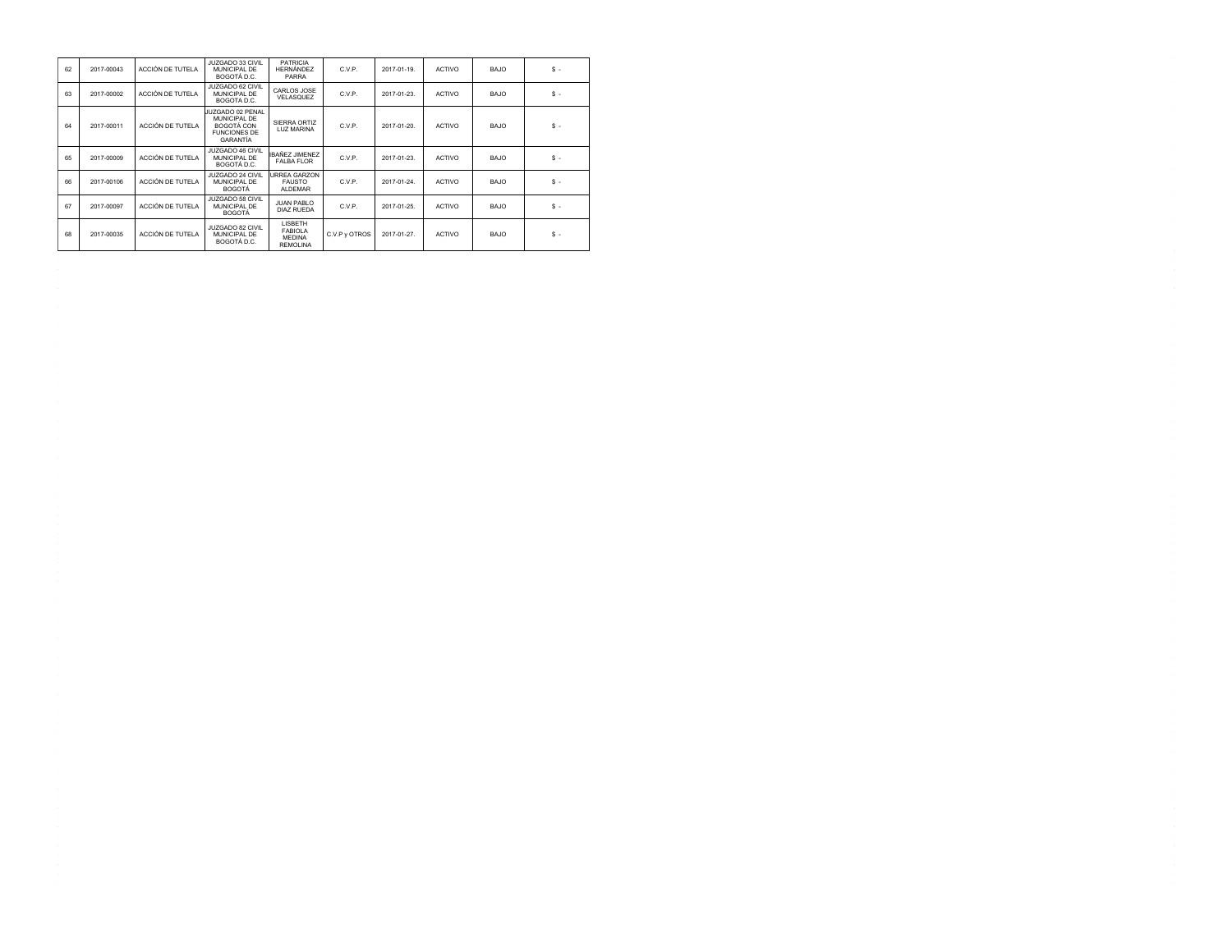| 62 | 2017-00043 | ACCIÓN DE TUTELA | JUZGADO 33 CIVIL<br>MUNICIPAL DE<br>BOGOTÁ D.C.                                          | <b>PATRICIA</b><br><b>HERNÁNDEZ</b><br>PARRA                  | C.V.P.        | 2017-01-19. | <b>ACTIVO</b> | <b>BAJO</b> | $s -$ |
|----|------------|------------------|------------------------------------------------------------------------------------------|---------------------------------------------------------------|---------------|-------------|---------------|-------------|-------|
| 63 | 2017-00002 | ACCIÓN DE TUTELA | JUZGADO 62 CIVIL<br>MUNICIPAL DE<br>BOGOTA D.C.                                          | CARLOS JOSE<br>VELASQUEZ                                      | C.V.P.        | 2017-01-23. | <b>ACTIVO</b> | <b>BAJO</b> | $s -$ |
| 64 | 2017-00011 | ACCIÓN DE TUTELA | JUZGADO 02 PENAL<br>MUNICIPAL DE<br><b>BOGOTÁ CON</b><br><b>FUNCIONES DE</b><br>GARANTÍA | SIERRA ORTIZ<br><b>LUZ MARINA</b>                             | C.V.P.        | 2017-01-20. | <b>ACTIVO</b> | <b>BAJO</b> | $s -$ |
| 65 | 2017-00009 | ACCIÓN DE TUTELA | JUZGADO 46 CIVIL<br>MUNICIPAL DE<br>BOGOTÁ D.C.                                          | IBAÑEZ JIMENEZ<br><b>FALBA FLOR</b>                           | C.V.P.        | 2017-01-23. | <b>ACTIVO</b> | <b>BAJO</b> | $s -$ |
| 66 | 2017-00106 | ACCIÓN DE TUTELA | JUZGADO 24 CIVIL<br>MUNICIPAL DE<br><b>BOGOTÁ</b>                                        | URREA GARZON<br><b>FAUSTO</b><br><b>ALDEMAR</b>               | C.V.P.        | 2017-01-24. | <b>ACTIVO</b> | <b>BAJO</b> | $s -$ |
| 67 | 2017-00097 | ACCIÓN DE TUTELA | JUZGADO 58 CIVIL<br>MUNICIPAL DE<br><b>BOGOTÁ</b>                                        | <b>JUAN PABLO</b><br><b>DIAZ RUEDA</b>                        | C.V.P.        | 2017-01-25. | <b>ACTIVO</b> | <b>BAJO</b> | $s -$ |
| 68 | 2017-00035 | ACCIÓN DE TUTELA | JUZGADO 82 CIVIL<br>MUNICIPAL DE<br>BOGOTÁ D.C.                                          | LISBETH<br><b>FABIOLA</b><br><b>MEDINA</b><br><b>REMOLINA</b> | C.V.P y OTROS | 2017-01-27. | <b>ACTIVO</b> | <b>BAJO</b> | $s -$ |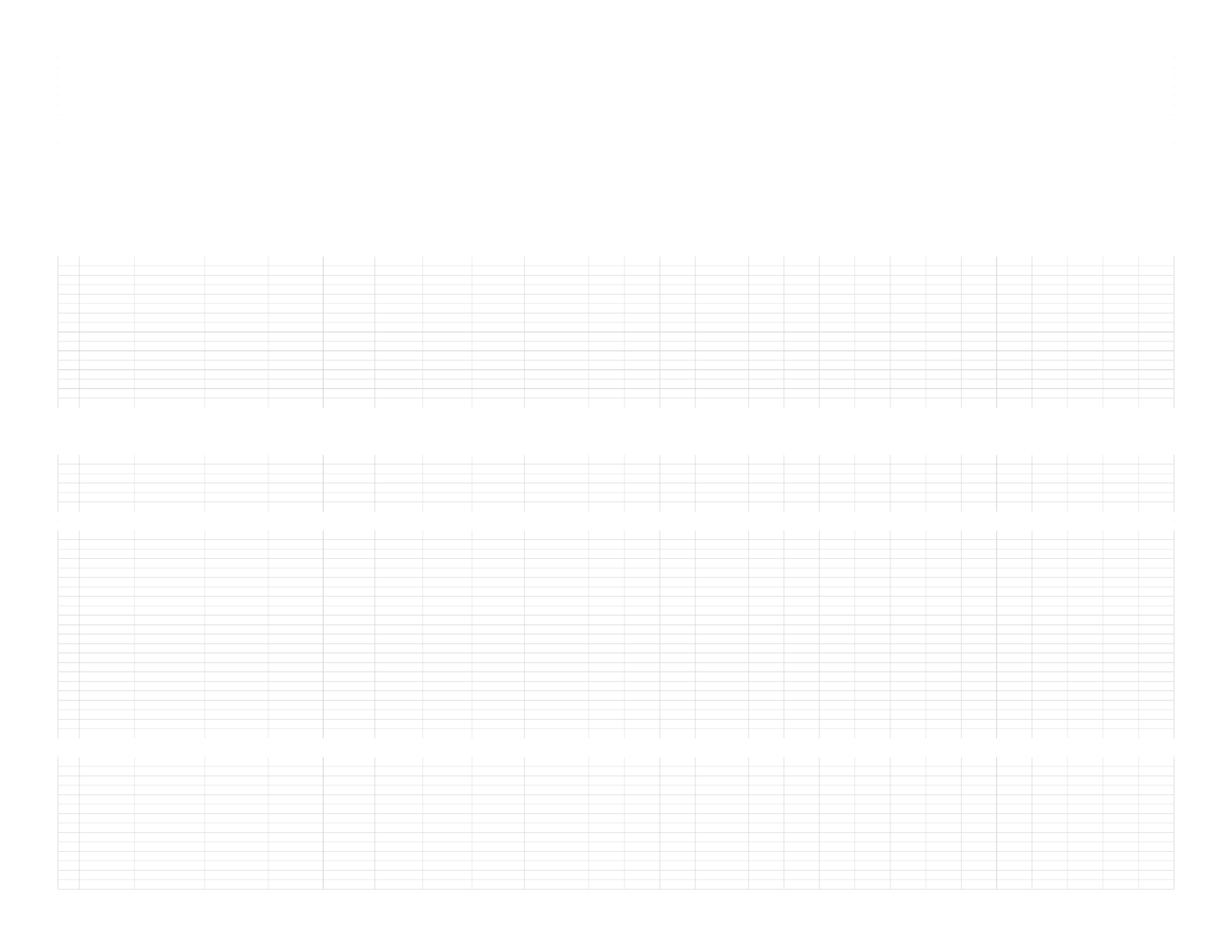|  |       |  |  |  |  |  |  |  | the contract of the contract of the contract of | the control of the control of the con- |  |  |
|--|-------|--|--|--|--|--|--|--|-------------------------------------------------|----------------------------------------|--|--|
|  |       |  |  |  |  |  |  |  |                                                 |                                        |  |  |
|  |       |  |  |  |  |  |  |  |                                                 |                                        |  |  |
|  |       |  |  |  |  |  |  |  |                                                 |                                        |  |  |
|  |       |  |  |  |  |  |  |  |                                                 |                                        |  |  |
|  |       |  |  |  |  |  |  |  |                                                 |                                        |  |  |
|  |       |  |  |  |  |  |  |  |                                                 |                                        |  |  |
|  |       |  |  |  |  |  |  |  |                                                 |                                        |  |  |
|  |       |  |  |  |  |  |  |  |                                                 |                                        |  |  |
|  |       |  |  |  |  |  |  |  |                                                 |                                        |  |  |
|  |       |  |  |  |  |  |  |  |                                                 |                                        |  |  |
|  |       |  |  |  |  |  |  |  |                                                 |                                        |  |  |
|  |       |  |  |  |  |  |  |  |                                                 |                                        |  |  |
|  |       |  |  |  |  |  |  |  |                                                 |                                        |  |  |
|  |       |  |  |  |  |  |  |  |                                                 |                                        |  |  |
|  |       |  |  |  |  |  |  |  |                                                 |                                        |  |  |
|  |       |  |  |  |  |  |  |  |                                                 |                                        |  |  |
|  |       |  |  |  |  |  |  |  |                                                 |                                        |  |  |
|  |       |  |  |  |  |  |  |  |                                                 |                                        |  |  |
|  |       |  |  |  |  |  |  |  |                                                 |                                        |  |  |
|  |       |  |  |  |  |  |  |  |                                                 |                                        |  |  |
|  |       |  |  |  |  |  |  |  |                                                 |                                        |  |  |
|  |       |  |  |  |  |  |  |  |                                                 |                                        |  |  |
|  |       |  |  |  |  |  |  |  |                                                 |                                        |  |  |
|  |       |  |  |  |  |  |  |  |                                                 |                                        |  |  |
|  |       |  |  |  |  |  |  |  |                                                 |                                        |  |  |
|  |       |  |  |  |  |  |  |  |                                                 |                                        |  |  |
|  |       |  |  |  |  |  |  |  |                                                 |                                        |  |  |
|  |       |  |  |  |  |  |  |  |                                                 |                                        |  |  |
|  | The S |  |  |  |  |  |  |  |                                                 |                                        |  |  |
|  |       |  |  |  |  |  |  |  |                                                 |                                        |  |  |
|  |       |  |  |  |  |  |  |  |                                                 |                                        |  |  |
|  |       |  |  |  |  |  |  |  |                                                 |                                        |  |  |
|  |       |  |  |  |  |  |  |  |                                                 |                                        |  |  |
|  |       |  |  |  |  |  |  |  |                                                 |                                        |  |  |
|  |       |  |  |  |  |  |  |  |                                                 |                                        |  |  |
|  |       |  |  |  |  |  |  |  |                                                 |                                        |  |  |
|  |       |  |  |  |  |  |  |  |                                                 |                                        |  |  |
|  |       |  |  |  |  |  |  |  |                                                 |                                        |  |  |
|  |       |  |  |  |  |  |  |  |                                                 |                                        |  |  |
|  |       |  |  |  |  |  |  |  |                                                 |                                        |  |  |
|  |       |  |  |  |  |  |  |  |                                                 |                                        |  |  |